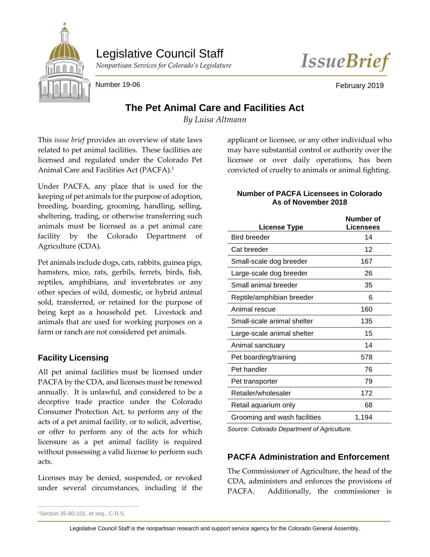

Legislative Council Staff



Number 19-06 February 2019

# **The Pet Animal Care and Facilities Act**

*By Luisa Altmann*

This *issue brief* provides an overview of state laws related to pet animal facilities. These facilities are licensed and regulated under the Colorado Pet Animal Care and Facilities Act (PACFA).<sup>1</sup>

Under PACFA, any place that is used for the keeping of pet animals for the purpose of adoption, breeding, boarding, grooming, handling, selling, sheltering, trading, or otherwise transferring such animals must be licensed as a pet animal care facility by the Colorado Department of Agriculture (CDA).

Pet animals include dogs, cats, rabbits, guinea pigs, hamsters, mice, rats, gerbils, ferrets, birds, fish, reptiles, amphibians, and invertebrates or any other species of wild, domestic, or hybrid animal sold, transferred, or retained for the purpose of being kept as a household pet. Livestock and animals that are used for working purposes on a farm or ranch are not considered pet animals.

## **Facility Licensing**

All pet animal facilities must be licensed under PACFA by the CDA, and licenses must be renewed annually. It is unlawful, and considered to be a deceptive trade practice under the Colorado Consumer Protection Act, to perform any of the acts of a pet animal facility, or to solicit, advertise, or offer to perform any of the acts for which licensure as a pet animal facility is required without possessing a valid license to perform such acts.

Licenses may be denied, suspended, or revoked under several circumstances, including if the applicant or licensee, or any other individual who may have substantial control or authority over the licensee or over daily operations, has been convicted of cruelty to animals or animal fighting.

#### **Number of PACFA Licensees in Colorado As of November 2018**

| <b>License Type</b>          | Number of<br>Licensees |
|------------------------------|------------------------|
| <b>Bird breeder</b>          | 14                     |
| Cat breeder                  | 12                     |
| Small-scale dog breeder      | 167                    |
| Large-scale dog breeder      | 26                     |
| Small animal breeder         | 35                     |
| Reptile/amphibian breeder    | 6                      |
| Animal rescue                | 160                    |
| Small-scale animal shelter   | 135                    |
| Large-scale animal shelter   | 15                     |
| Animal sanctuary             | 14                     |
| Pet boarding/training        | 578                    |
| Pet handler                  | 76                     |
| Pet transporter              | 79                     |
| Retailer/wholesaler          | 172                    |
| Retail aquarium only         | 68                     |
| Grooming and wash facilities | 1,194                  |

*Source: Colorado Department of Agriculture.*

## **PACFA Administration and Enforcement**

The Commissioner of Agriculture, the head of the CDA, administers and enforces the provisions of PACFA. Additionally, the commissioner is

 $\overline{a}$